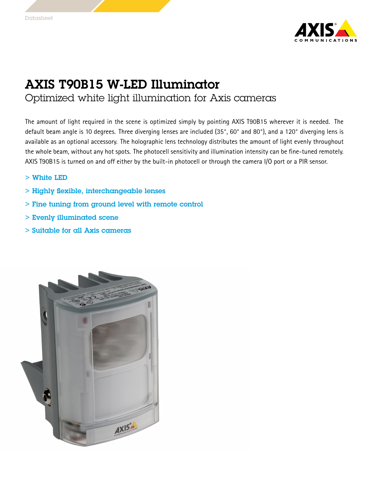

## AXIS T90B15 W-LED Illuminator

Optimized white light illumination for Axis cameras

The amount of light required in the scene is optimized simply by pointing AXIS T90B15 wherever it is needed. The default beam angle is <sup>10</sup> degrees. Three diverging lenses are included (35°, 60° and 80°), and <sup>a</sup> 120° diverging lens is available as an optional accessory. The holographic lens technology distributes the amount of light evenly throughout the whole beam, without any hot spots. The photocell sensitivity and illumination intensity can be fine-tuned remotely. AXIS T90B15 is turned on and off either by the built-in photocell or through the camera I/O port or <sup>a</sup> PIR sensor.

- > White LED
- > Highly flexible, interchangeable lenses
- > Fine tuning from ground level with remote control
- > Evenly illuminated scene
- > Suitable for all Axis cameras